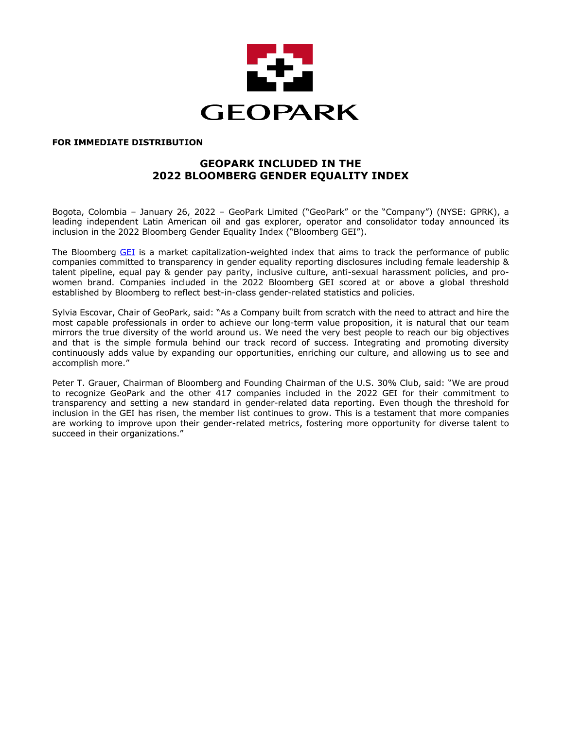

## **FOR IMMEDIATE DISTRIBUTION**

# **GEOPARK INCLUDED IN THE 2022 BLOOMBERG GENDER EQUALITY INDEX**

Bogota, Colombia – January 26, 2022 – GeoPark Limited ("GeoPark" or the "Company") (NYSE: GPRK), a leading independent Latin American oil and gas explorer, operator and consolidator today announced its inclusion in the 2022 Bloomberg Gender Equality Index ("Bloomberg GEI").

The Bloomberg GEI is a market capitalization-weighted index that aims to track the performance of public companies committed to transparency in gender equality reporting disclosures including female leadership & talent pipeline, equal pay & gender pay parity, inclusive culture, anti-sexual harassment policies, and prowomen brand. Companies included in the 2022 Bloomberg GEI scored at or above a global threshold established by Bloomberg to reflect best-in-class gender-related statistics and policies.

Sylvia Escovar, Chair of GeoPark, said: "As a Company built from scratch with the need to attract and hire the most capable professionals in order to achieve our long-term value proposition, it is natural that our team mirrors the true diversity of the world around us. We need the very best people to reach our big objectives and that is the simple formula behind our track record of success. Integrating and promoting diversity continuously adds value by expanding our opportunities, enriching our culture, and allowing us to see and accomplish more."

Peter T. Grauer, Chairman of Bloomberg and Founding Chairman of the U.S. 30% Club, said: "We are proud to recognize GeoPark and the other 417 companies included in the 2022 GEI for their commitment to transparency and setting a new standard in gender-related data reporting. Even though the threshold for inclusion in the GEI has risen, the member list continues to grow. This is a testament that more companies are working to improve upon their gender-related metrics, fostering more opportunity for diverse talent to succeed in their organizations."